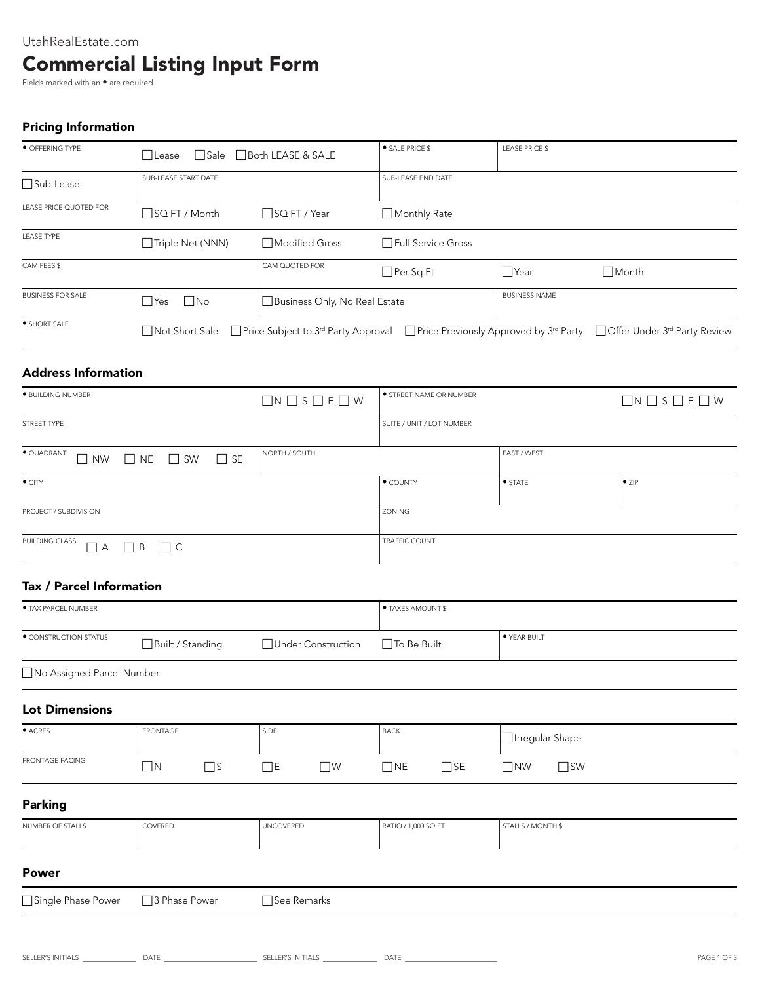# UtahRealEstate.com Commercial Listing Input Form

Fields marked with an  $\bullet$  are required

# Pricing Information

| • OFFERING TYPE          | l lLease                | • SALE PRICE \$<br>□ Sale □ Both LEASE & SALE |                      | <b>LEASE PRICE \$</b> |                                                                                                                                                    |
|--------------------------|-------------------------|-----------------------------------------------|----------------------|-----------------------|----------------------------------------------------------------------------------------------------------------------------------------------------|
| $\Box$ Sub-Lease         | SUB-LEASE START DATE    |                                               | SUB-LEASE END DATE   |                       |                                                                                                                                                    |
| LEASE PRICE QUOTED FOR   | $\Box$ SQ FT / Month    | □SQ FT / Year                                 | $\Box$ Monthly Rate  |                       |                                                                                                                                                    |
| <b>LEASE TYPE</b>        | Triple Net (NNN)        | □Modified Gross                               | □ Full Service Gross |                       |                                                                                                                                                    |
| CAM FEES \$              |                         | CAM QUOTED FOR                                | $\Box$ Per Sq Ft     | $\Box$ Year           | <b>□</b> Month                                                                                                                                     |
| <b>BUSINESS FOR SALE</b> | $\Box$ No<br>$\Box$ Yes | Business Only, No Real Estate                 |                      | <b>BUSINESS NAME</b>  |                                                                                                                                                    |
| • SHORT SALE             | □ Not Short Sale        |                                               |                      |                       | <b>Price Subject to 3<sup>rd</sup> Party Approval</b> Price Previously Approved by 3 <sup>rd</sup> Party Poffer Under 3 <sup>rd</sup> Party Review |

## Address Information

| · BUILDING NUMBER                                                             | $\Box N \Box S \Box E \Box W$ | STREET NAME OR NUMBER     |                    | $\Box N \Box S \Box E \Box W$ |
|-------------------------------------------------------------------------------|-------------------------------|---------------------------|--------------------|-------------------------------|
| STREET TYPE                                                                   |                               | SUITE / UNIT / LOT NUMBER |                    |                               |
| $\bullet$ QUADRANT<br>$\Box$ NW<br>$N_{\text{E}}$ $N_{\text{S}}$<br>$\Box$ SE | NORTH / SOUTH                 |                           | <b>EAST / WEST</b> |                               |
| $\bullet$ CITY                                                                |                               | • COUNTY                  | $\bullet$ STATE    | $\bullet$ ZIP                 |
| PROJECT / SUBDIVISION                                                         |                               | <b>ZONING</b>             |                    |                               |
| <b>BUILDING CLASS</b><br>$\Box$ A<br>$\Box$ B $\Box$ C                        |                               | <b>TRAFFIC COUNT</b>      |                    |                               |

### Tax / Parcel Information

| <b>• TAX PARCEL NUMBER</b>  |                      |                         | <b>• TAXES AMOUNT \$</b>  |                           |
|-----------------------------|----------------------|-------------------------|---------------------------|---------------------------|
| · CONSTRUCTION STATUS       | □ Built / Standing   | Under Construction      | □ To Be Built             | ● YEAR BUILT              |
| □ No Assigned Parcel Number |                      |                         |                           |                           |
| <b>Lot Dimensions</b>       |                      |                         |                           |                           |
| $\bullet$ ACRES             | <b>FRONTAGE</b>      | SIDE                    | <b>BACK</b>               | □ Irregular Shape         |
| <b>FRONTAGE FACING</b>      | $\Box$ s<br>$\Box N$ | $\Box$ E<br>$\square$ w | $\square$ SE<br>$\Box$ NE | $\square$ SW<br>$\Box$ NW |
| <b>Parking</b>              |                      |                         |                           |                           |
| NUMBER OF STALLS            | COVERED              | <b>UNCOVERED</b>        | RATIO / 1,000 SQ FT       | STALLS / MONTH \$         |
| <b>Power</b>                |                      |                         |                           |                           |
| Single Phase Power          | □ 3 Phase Power      | □See Remarks            |                           |                           |
|                             |                      |                         |                           |                           |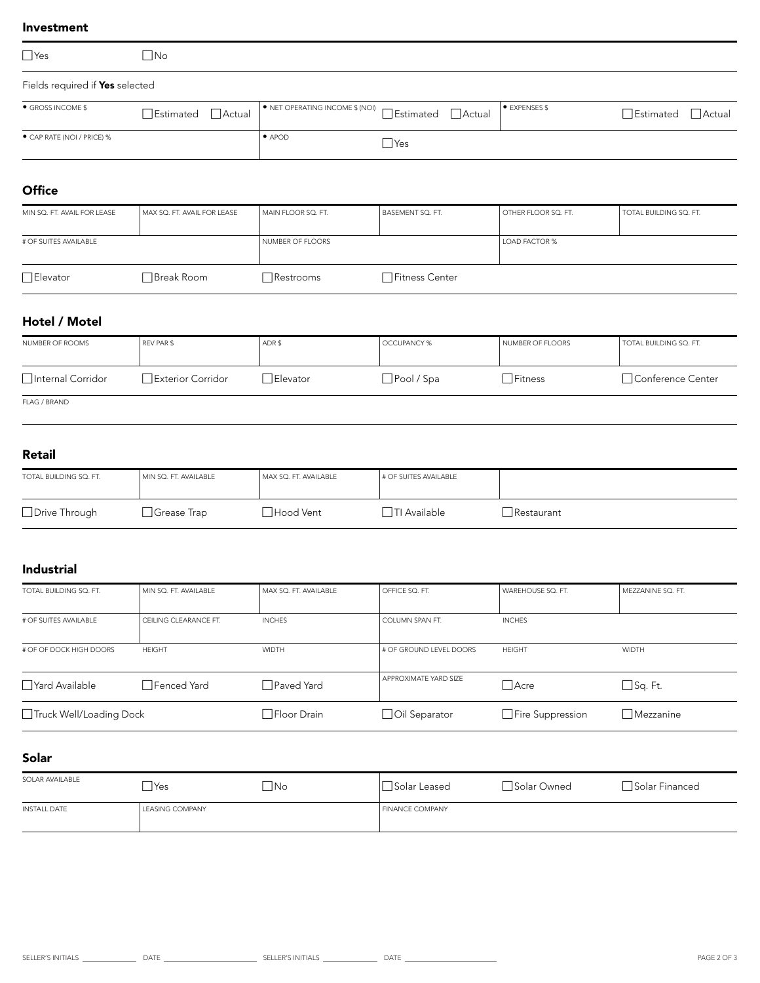#### Investment

| $\Box$ Yes                      | $\Box$ No          |                                                                        |            |                    |                                |
|---------------------------------|--------------------|------------------------------------------------------------------------|------------|--------------------|--------------------------------|
| Fields required if Yes selected |                    |                                                                        |            |                    |                                |
| • GROSS INCOME \$               | □Estimated □Actual | $\bullet$ NET OPERATING INCOME \$ (NOI) $\Box$ Estimated $\Box$ Actual |            | <b>EXPENSES \$</b> | $\Box$ Estimated $\Box$ Actual |
| ● CAP RATE (NOI / PRICE) %      |                    | $\bullet$ APOD                                                         | $\Box$ Yes |                    |                                |

### **Office**

| MIN SQ. FT. AVAIL FOR LEASE | MAX SQ. FT. AVAIL FOR LEASE | I MAIN FLOOR SQ. FT. | BASEMENT SQ. FT.      | OTHER FLOOR SQ. FT.  | TOTAL BUILDING SQ. FT. |
|-----------------------------|-----------------------------|----------------------|-----------------------|----------------------|------------------------|
| # OF SUITES AVAILABLE       |                             | NUMBER OF FLOORS     |                       | <b>LOAD FACTOR %</b> |                        |
| □ Elevator                  | □Break Room                 | Restrooms            | <b>Fitness Center</b> |                      |                        |

# Hotel / Motel

| NUMBER OF ROOMS    | REV PAR \$         | ADR\$     | OCCUPANCY %       | NUMBER OF FLOORS | TOTAL BUILDING SQ. FT. |
|--------------------|--------------------|-----------|-------------------|------------------|------------------------|
| □Internal Corridor | □Exterior Corridor | ∃Elevator | $\Box$ Pool / Spa | $\neg$ Fitness   | □ Conference Center    |
| FLAG / BRAND       |                    |           |                   |                  |                        |

### Retail

| TOTAL BUILDING SQ. FT. | MIN SQ. FT. AVAILABLE | MAX SQ. FT. AVAILABLE | # OF SUITES AVAILABLE     |            |
|------------------------|-----------------------|-----------------------|---------------------------|------------|
| □ Drive Through        | Grease Trap           | ∃Hood Vent            | <sup>1</sup> TI Available | Restaurant |

## Industrial

| TOTAL BUILDING SQ. FT.    | MIN SQ. FT. AVAILABLE | MAX SQ. FT. AVAILABLE | OFFICE SQ. FT.          | WAREHOUSE SQ. FT.       | MEZZANINE SQ. FT. |
|---------------------------|-----------------------|-----------------------|-------------------------|-------------------------|-------------------|
| # OF SUITES AVAILABLE     | CEILING CLEARANCE FT. | <b>INCHES</b>         | <b>COLUMN SPAN FT.</b>  | <b>INCHES</b>           |                   |
| # OF OF DOCK HIGH DOORS   | <b>HEIGHT</b>         | <b>WIDTH</b>          | # OF GROUND LEVEL DOORS | <b>HEIGHT</b>           | <b>WIDTH</b>      |
| Yard Available            | □ Fenced Yard         | □ Paved Yard          | APPROXIMATE YARD SIZE   | $\Box$ Acre             | $\Box$ Sq. Ft.    |
| □ Truck Well/Loading Dock |                       | □ Floor Drain         | □ Oil Separator         | $\Box$ Fire Suppression | $\Box$ Mezzanine  |

### Solar

| SOLAR AVAILABLE     | Yes             | No | $\sim$<br>Solar Leased | Solar Owned | Solar Financed |
|---------------------|-----------------|----|------------------------|-------------|----------------|
| <b>INSTALL DATE</b> | LEASING COMPANY |    | <b>FINANCE COMPANY</b> |             |                |